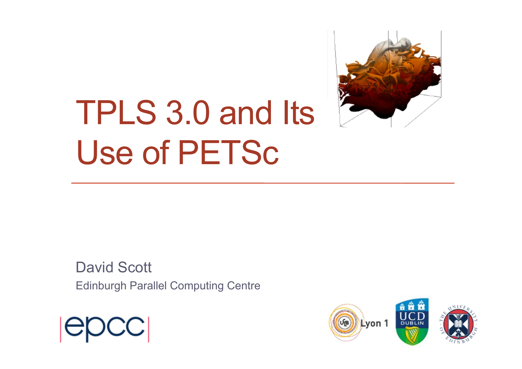

# TPLS 3.0 and Its Use of PETSc

David Scott Edinburgh Parallel Computing Centre



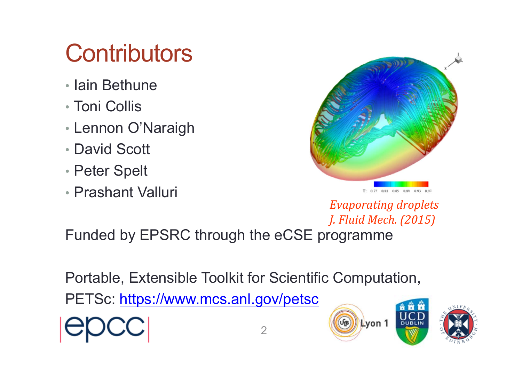### **Contributors**

- Iain Bethune
- Toni Collis
- Lennon O'Naraigh
- David Scott
- Peter Spelt
- Prashant Valluri



*Evaporating droplets J. Fluid Mech. (2015)*

Funded by EPSRC through the eCSE programme

Portable, Extensible Toolkit for Scientific Computation,

PETSc: https://www.mcs.anl.gov/petsc



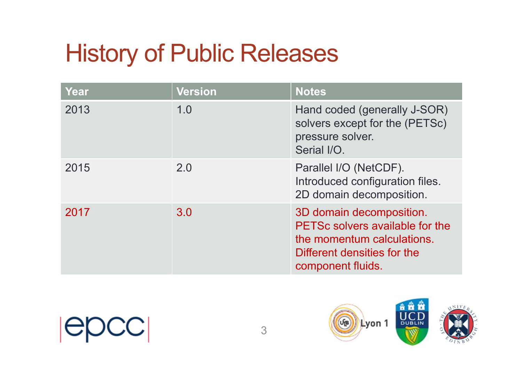### History of Public Releases

| Year | <b>Version</b> | <b>Notes</b>                                                                                                                                  |
|------|----------------|-----------------------------------------------------------------------------------------------------------------------------------------------|
| 2013 | 1.0            | Hand coded (generally J-SOR)<br>solvers except for the (PETSc)<br>pressure solver.<br>Serial I/O.                                             |
| 2015 | 2.0            | Parallel I/O (NetCDF).<br>Introduced configuration files.<br>2D domain decomposition.                                                         |
| 2017 | 3.0            | 3D domain decomposition.<br>PETSc solvers available for the<br>the momentum calculations.<br>Different densities for the<br>component fluids. |

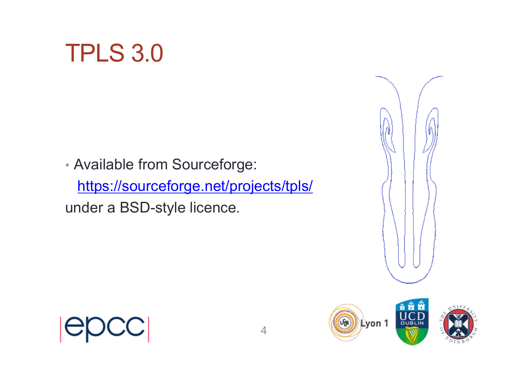

• Available from Sourceforge: https://sourceforge.net/projects/tpls/ under a BSD-style licence.



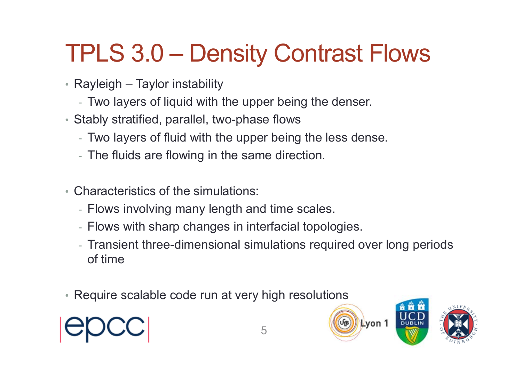### TPLS 3.0 – Density Contrast Flows

- Rayleigh Taylor instability
	- Two layers of liquid with the upper being the denser.
- Stably stratified, parallel, two-phase flows
	- Two layers of fluid with the upper being the less dense.
	- The fluids are flowing in the same direction.
- Characteristics of the simulations:
	- Flows involving many length and time scales.
	- Flows with sharp changes in interfacial topologies.
	- Transient three-dimensional simulations required over long periods of time
- Require scalable code run at very high resolutions



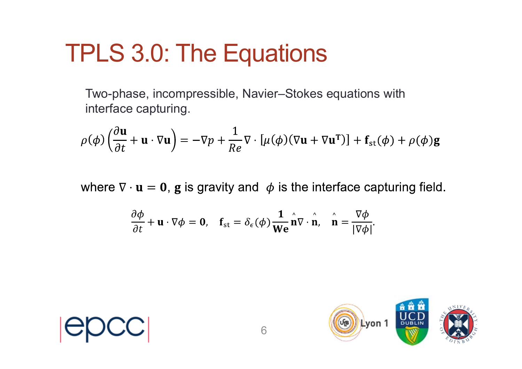#### TPLS 3.0: The Equations

Two-phase, incompressible, Navier–Stokes equations with interface capturing.

$$
\rho(\phi) \left( \frac{\partial \mathbf{u}}{\partial t} + \mathbf{u} \cdot \nabla \mathbf{u} \right) = -\nabla p + \frac{1}{Re} \nabla \cdot \left[ \mu(\phi) (\nabla \mathbf{u} + \nabla \mathbf{u}^{\mathsf{T}}) \right] + \mathbf{f}_{\text{st}}(\phi) + \rho(\phi) \mathbf{g}
$$

where  $\nabla \cdot \mathbf{u} = \mathbf{0}$ , g is gravity and  $\phi$  is the interface capturing field.

$$
\frac{\partial \phi}{\partial t} + \mathbf{u} \cdot \nabla \phi = \mathbf{0}, \quad \mathbf{f}_{\text{st}} = \delta_{\epsilon}(\phi) \frac{\mathbf{1}}{\mathbf{W}\mathbf{e}} \mathbf{n} \nabla \cdot \mathbf{n}, \quad \mathbf{n} = \frac{\nabla \phi}{|\nabla \phi|}.
$$



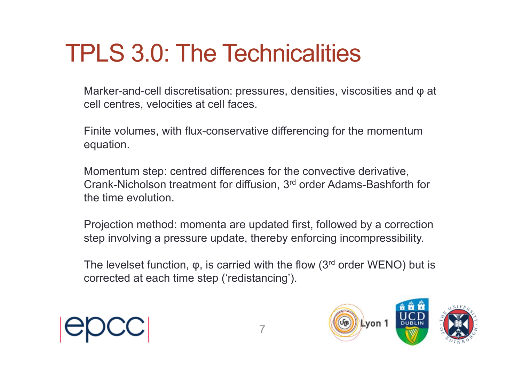### TPLS 3.0: The Technicalities

Marker-and-cell discretisation: pressures, densities, viscosities and φ at cell centres, velocities at cell faces.

Finite volumes, with flux-conservative differencing for the momentum equation.

Momentum step: centred differences for the convective derivative, Crank-Nicholson treatment for diffusion, 3rd order Adams-Bashforth for the time evolution.

Projection method: momenta are updated first, followed by a correction step involving a pressure update, thereby enforcing incompressibility.

The levelset function,  $\varphi$ , is carried with the flow (3<sup>rd</sup> order WENO) but is corrected at each time step ('redistancing').



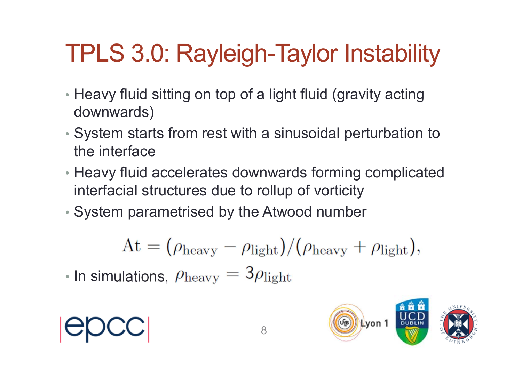## TPLS 3.0: Rayleigh-Taylor Instability

- Heavy fluid sitting on top of a light fluid (gravity acting downwards)
- System starts from rest with a sinusoidal perturbation to the interface
- Heavy fluid accelerates downwards forming complicated interfacial structures due to rollup of vorticity
- System parametrised by the Atwood number

$$
At = (\rho_{\text{heavy}} - \rho_{\text{light}})/(\rho_{\text{heavy}} + \rho_{\text{light}}),
$$

• In simulations,



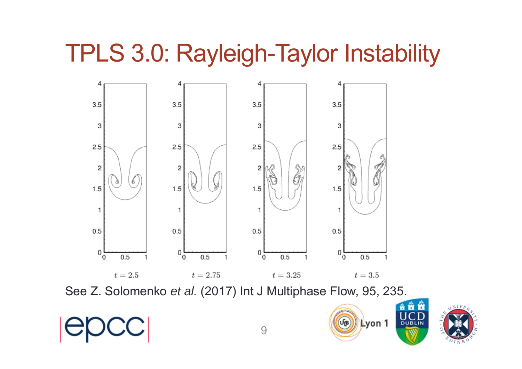#### TPLS 3.0: Rayleigh-Taylor Instability



See Z. Solomenko *et al.* (2017) Int J Multiphase Flow, 95, 235.

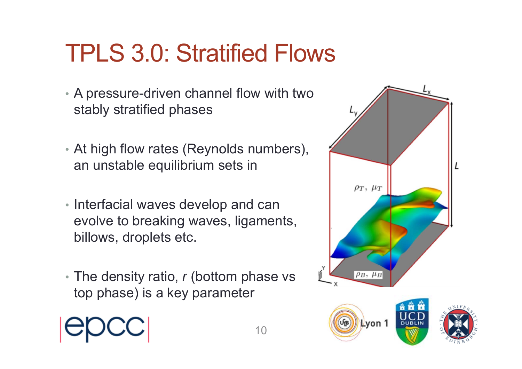### TPLS 3.0: Stratified Flows

- A pressure-driven channel flow with two stably stratified phases
- At high flow rates (Reynolds numbers), an unstable equilibrium sets in
- Interfacial waves develop and can evolve to breaking waves, ligaments, billows, droplets etc.
- The density ratio, *r* (bottom phase vs top phase) is a key parameter

10





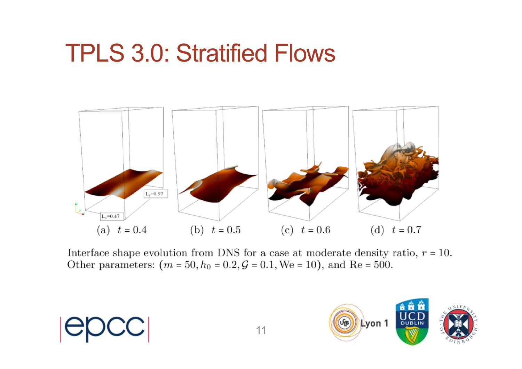#### TPLS 3.0: Stratified Flows



Interface shape evolution from DNS for a case at moderate density ratio,  $r = 10$ . Other parameters:  $(m = 50, h_0 = 0.2, \mathcal{G} = 0.1, \text{We} = 10)$ , and Re = 500.

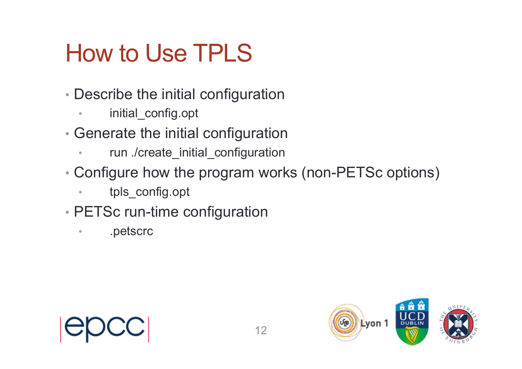### How to Use TPLS

- Describe the initial configuration
	- •initial\_config.opt
- Generate the initial configuration
	- •run ./create\_initial\_configuration
- Configure how the program works (non-PETSc options)
	- •tpls\_config.opt
- PETSc run-time configuration
	- •.petscrc



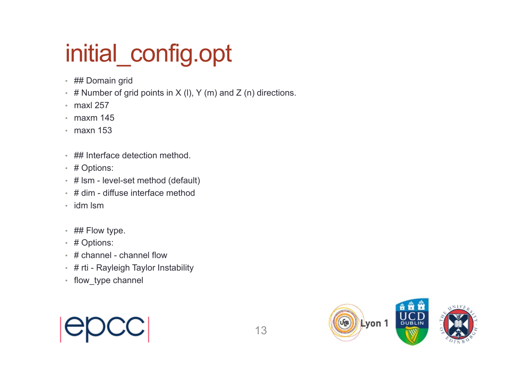# initial\_config.opt

- ## Domain grid
- # Number of grid points in X (I), Y (m) and Z (n) directions.
- maxl 257
- maxm 145
- maxn 153
- ## Interface detection method.
- # Options:
- # lsm level-set method (default)
- # dim diffuse interface method
- idm lsm
- ## Flow type.
- # Options:
- # channel channel flow
- # rti Rayleigh Taylor Instability
- flow\_type channel

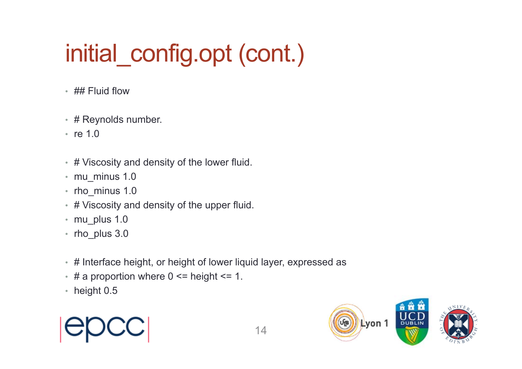# initial config.opt (cont.)

- ## Fluid flow
- # Reynolds number.
- re 1.0
- # Viscosity and density of the lower fluid.
- mu\_minus 1.0
- rho\_minus 1.0
- # Viscosity and density of the upper fluid.
- mu\_plus 1.0
- rho plus 3.0
- # Interface height, or height of lower liquid layer, expressed as
- # a proportion where 0 <= height <= 1.
- height 0.5



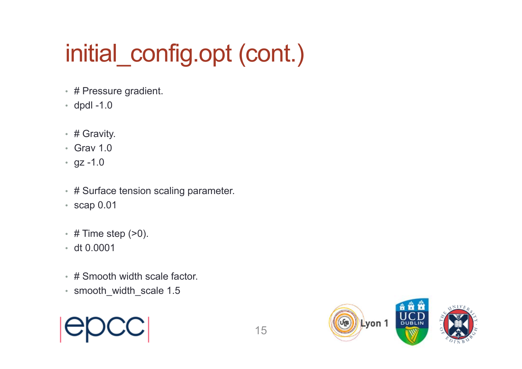# initial config.opt (cont.)

- # Pressure gradient.
- dpdl -1.0
- # Gravity.
- Grav 1.0
- gz -1.0
- # Surface tension scaling parameter.
- scap 0.01
- # Time step (>0).
- dt 0.0001
- # Smooth width scale factor.
- smooth width scale 1.5



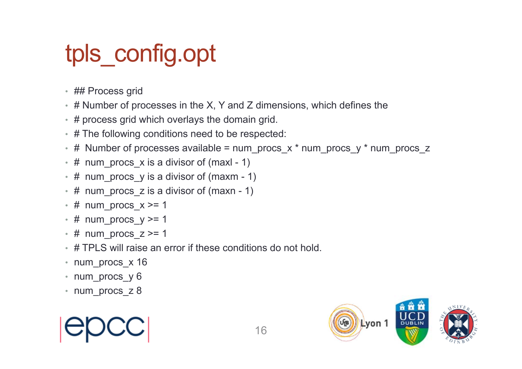### tpls\_config.opt

- ## Process grid
- # Number of processes in the X, Y and Z dimensions, which defines the
- # process grid which overlays the domain grid.
- # The following conditions need to be respected:
- # Number of processes available = num\_procs\_x \* num\_procs\_y \* num\_procs\_z
- # num\_procs\_x is a divisor of (maxl 1)
- # num\_procs\_y is a divisor of (maxm 1)
- # num\_procs\_z is a divisor of (maxn 1)
- # num\_procs\_x >= 1
- # num\_procs\_y >= 1
- $\cdot$  # num procs  $z \ge 1$
- # TPLS will raise an error if these conditions do not hold.
- num procs x 16
- num\_procs\_y 6
- num procs z 8



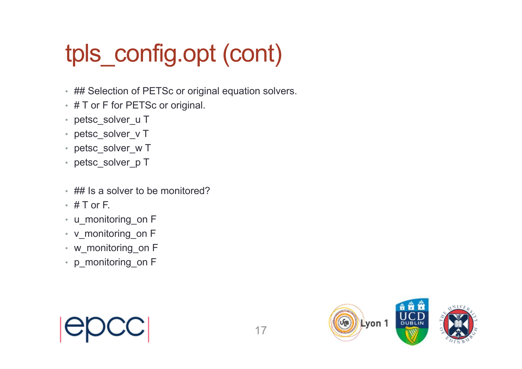# tpls\_config.opt (cont)

- ## Selection of PETSc or original equation solvers.
- # T or F for PETSc or original.
- petsc\_solver\_u T
- petsc\_solver\_v T
- petsc\_solver\_w T
- petsc\_solver\_p T
- ## Is a solver to be monitored?
- $\cdot\;$  # T or F.
- u\_monitoring\_on F
- v\_monitoring\_on F
- w\_monitoring\_on F
- p\_monitoring\_on F



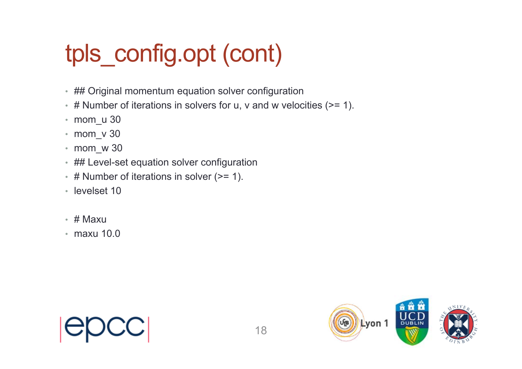# tpls\_config.opt (cont)

- ## Original momentum equation solver configuration
- # Number of iterations in solvers for u, v and w velocities (>= 1).
- mom\_u 30
- mom\_v 30
- mom\_w 30
- ## Level-set equation solver configuration
- # Number of iterations in solver (>= 1).
- levelset 10
- # Maxu
- maxu 10.0



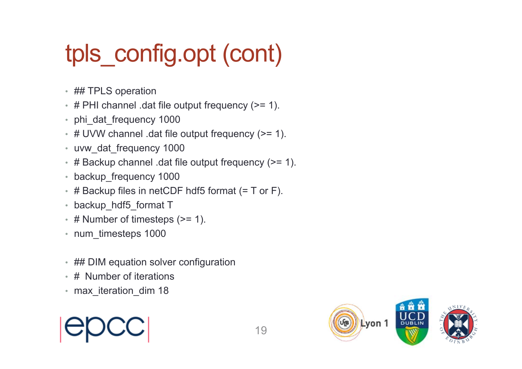# tpls\_config.opt (cont)

- ## TPLS operation
- # PHI channel .dat file output frequency (>= 1).
- phi\_dat\_frequency 1000
- # UVW channel .dat file output frequency (>= 1).
- uvw\_dat\_frequency 1000
- # Backup channel .dat file output frequency (>= 1).
- backup\_frequency 1000
- $\;\cdot\;$  # Backup files in netCDF hdf5 format (= T or F).
- backup\_hdf5\_format T
- # Number of timesteps (>= 1).
- num timesteps 1000
- ## DIM equation solver configuration
- # Number of iterations
- max iteration dim 18

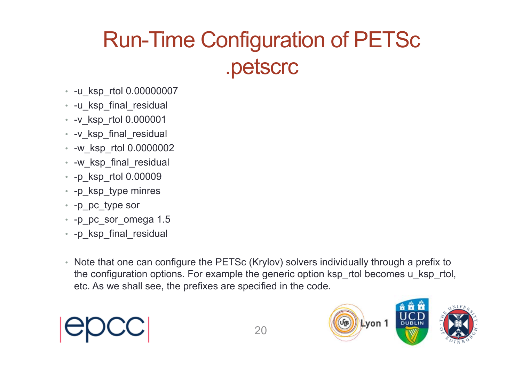#### Run-Time Configuration of PETSc .petscrc

- -u\_ksp\_rtol 0.00000007
- -u\_ksp\_final\_residual
- -v\_ksp\_rtol 0.000001
- -v\_ksp\_final\_residual
- -w\_ksp\_rtol 0.0000002
- -w\_ksp\_final\_residual
- -p\_ksp\_rtol 0.00009
- -p\_ksp\_type minres
- -p\_pc\_type sor
- -p\_pc\_sor\_omega 1.5
- -p\_ksp\_final\_residual
- Note that one can configure the PETSc (Krylov) solvers individually through a prefix to the configuration options. For example the generic option ksp\_rtol becomes u\_ksp\_rtol, etc. As we shall see, the prefixes are specified in the code.

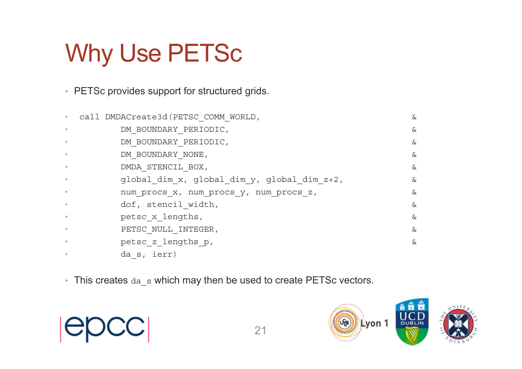### Why Use PETSc

• PETSc provides support for structured grids.

| $\bullet$ | call DMDACreate3d (PETSC COMM WORLD,        | &  |
|-----------|---------------------------------------------|----|
| $\bullet$ | DM BOUNDARY PERIODIC,                       | &  |
|           | DM BOUNDARY PERIODIC,                       | &  |
|           | DM BOUNDARY NONE,                           | &  |
|           | DMDA STENCIL BOX,                           | &. |
|           | global dim x, global dim y, global dim z+2, | &  |
|           | num procs x, num procs y, num procs z,      | &. |
| $\bullet$ | dof, stencil width,                         | &  |
|           | petsc x lengths,                            | &  |
|           | PETSC NULL INTEGER,                         | &  |
|           | petsc z lengths p,                          | &  |
|           | da s, ierr)                                 |    |

• This creates  $da$  s which may then be used to create PETSc vectors.



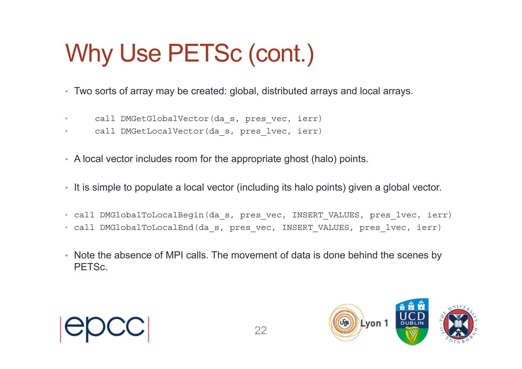# Why Use PETSc (cont.)

- Two sorts of array may be created: global, distributed arrays and local arrays.
- •call DMGetGlobalVector(da s, pres vec, ierr)
- $\bullet$ call DMGetLocalVector(da s, pres lvec, ierr)
- A local vector includes room for the appropriate ghost (halo) points.
- It is simple to populate a local vector (including its halo points) given a global vector.
- call DMGlobalToLocalBegin(da\_s, pres\_vec, INSERT\_VALUES, pres\_lvec, ierr)
- call DMGlobalToLocalEnd(da\_s, pres\_vec, INSERT\_VALUES, pres\_lvec, ierr)
- Note the absence of MPI calls. The movement of data is done behind the scenes by PETSc.



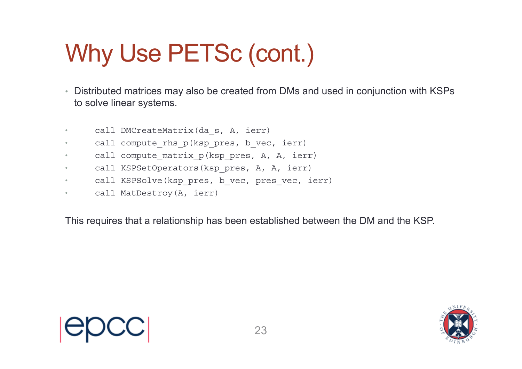# Why Use PETSc (cont.)

- Distributed matrices may also be created from DMs and used in conjunction with KSPs to solve linear systems.
- •call DMCreateMatrix(da\_s, A, ierr)
- •call compute rhs p(ksp pres, b vec, ierr)
- •call compute matrix p(ksp pres, A, A, ierr)
- •call KSPSetOperators(ksp pres, A, A, ierr)
- •call KSPSolve(ksp pres, b vec, pres vec, ierr)
- •call MatDestroy(A, ierr)

This requires that a relationship has been established between the DM and the KSP.



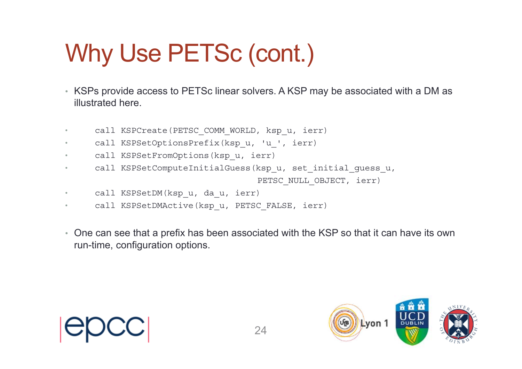# Why Use PETSc (cont.)

- KSPs provide access to PETSc linear solvers. A KSP may be associated with a DM as illustrated here.
- •call KSPCreate(PETSC COMM WORLD, ksp u, ierr)
- •call KSPSetOptionsPrefix(ksp\_u, 'u\_', ierr)
- •call KSPSetFromOptions(ksp\_u, ierr)
- •call KSPSetComputeInitialGuess(ksp\_u, set\_initial\_guess\_u,

PETSC NULL OBJECT, ierr)

- •call KSPSetDM(ksp\_u, da\_u, ierr)
- •call KSPSetDMActive(ksp\_u, PETSC\_FALSE, ierr)
- One can see that a prefix has been associated with the KSP so that it can have its own run-time, configuration options.



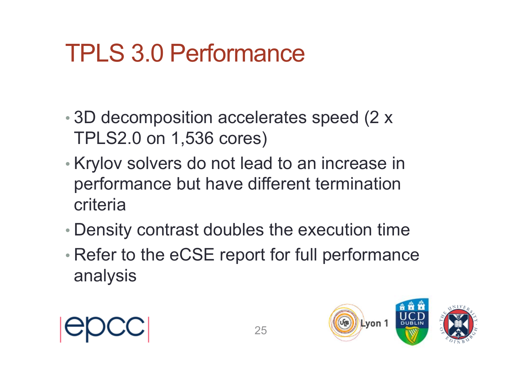### TPLS 3.0 Performance

- • 3D decomposition accelerates speed (2 x TPLS2.0 on 1,536 cores)
- • Krylov solvers do not lead to an increase in performance but have different termination criteria
- •Density contrast doubles the execution time
- • Refer to the eCSE report for full performance analysis